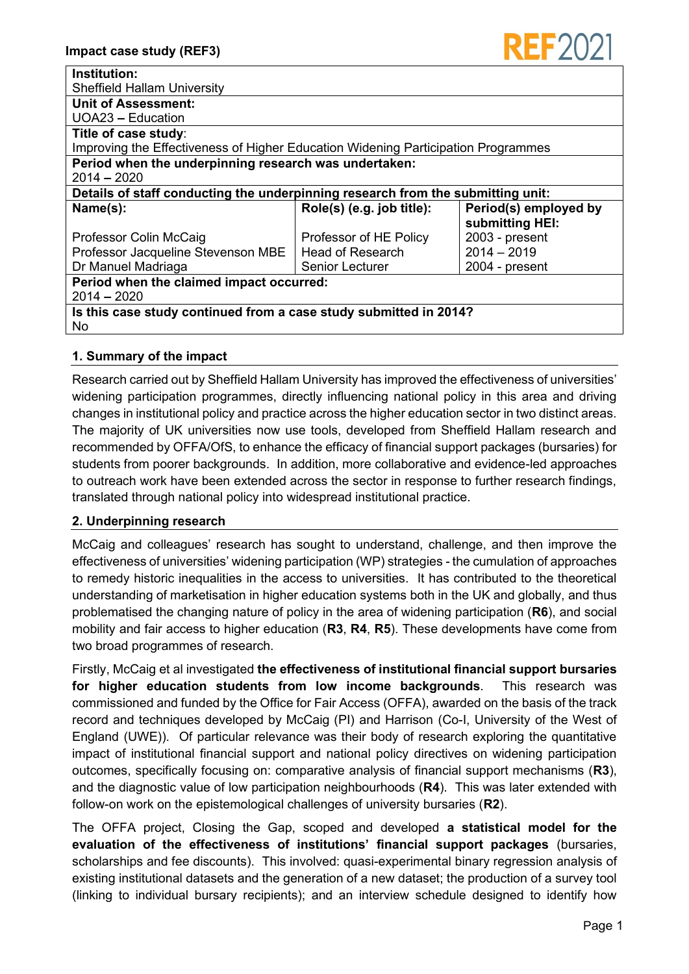

| Institution:                                                                      |                           |                       |  |  |
|-----------------------------------------------------------------------------------|---------------------------|-----------------------|--|--|
| <b>Sheffield Hallam University</b>                                                |                           |                       |  |  |
| Unit of Assessment:                                                               |                           |                       |  |  |
| UOA23 - Education                                                                 |                           |                       |  |  |
| Title of case study:                                                              |                           |                       |  |  |
| Improving the Effectiveness of Higher Education Widening Participation Programmes |                           |                       |  |  |
| Period when the underpinning research was undertaken:                             |                           |                       |  |  |
| $2014 - 2020$                                                                     |                           |                       |  |  |
| Details of staff conducting the underpinning research from the submitting unit:   |                           |                       |  |  |
| Name(s):                                                                          | Role(s) (e.g. job title): | Period(s) employed by |  |  |
|                                                                                   |                           | submitting HEI:       |  |  |
| Professor Colin McCaig                                                            | Professor of HE Policy    | 2003 - present        |  |  |
| Professor Jacqueline Stevenson MBE                                                | <b>Head of Research</b>   | $2014 - 2019$         |  |  |
| Dr Manuel Madriaga                                                                | <b>Senior Lecturer</b>    | $2004$ - present      |  |  |
| Period when the claimed impact occurred:                                          |                           |                       |  |  |
| $2014 - 2020$                                                                     |                           |                       |  |  |
| Is this case study continued from a case study submitted in 2014?                 |                           |                       |  |  |
| No.                                                                               |                           |                       |  |  |

# **1. Summary of the impact**

Research carried out by Sheffield Hallam University has improved the effectiveness of universities' widening participation programmes, directly influencing national policy in this area and driving changes in institutional policy and practice across the higher education sector in two distinct areas. The majority of UK universities now use tools, developed from Sheffield Hallam research and recommended by OFFA/OfS, to enhance the efficacy of financial support packages (bursaries) for students from poorer backgrounds. In addition, more collaborative and evidence-led approaches to outreach work have been extended across the sector in response to further research findings, translated through national policy into widespread institutional practice.

# **2. Underpinning research**

McCaig and colleagues' research has sought to understand, challenge, and then improve the effectiveness of universities' widening participation (WP) strategies - the cumulation of approaches to remedy historic inequalities in the access to universities. It has contributed to the theoretical understanding of marketisation in higher education systems both in the UK and globally, and thus problematised the changing nature of policy in the area of widening participation (**R6**), and social mobility and fair access to higher education (**R3**, **R4**, **R5**). These developments have come from two broad programmes of research.

Firstly, McCaig et al investigated **the effectiveness of institutional financial support bursaries for higher education students from low income backgrounds**. This research was commissioned and funded by the Office for Fair Access (OFFA), awarded on the basis of the track record and techniques developed by McCaig (PI) and Harrison (Co-I, University of the West of England (UWE)). Of particular relevance was their body of research exploring the quantitative impact of institutional financial support and national policy directives on widening participation outcomes, specifically focusing on: comparative analysis of financial support mechanisms (**R3**), and the diagnostic value of low participation neighbourhoods (**R4**). This was later extended with follow-on work on the epistemological challenges of university bursaries (**R2**).

The OFFA project, Closing the Gap, scoped and developed **a statistical model for the evaluation of the effectiveness of institutions' financial support packages** (bursaries, scholarships and fee discounts). This involved: quasi-experimental binary regression analysis of existing institutional datasets and the generation of a new dataset; the production of a survey tool (linking to individual bursary recipients); and an interview schedule designed to identify how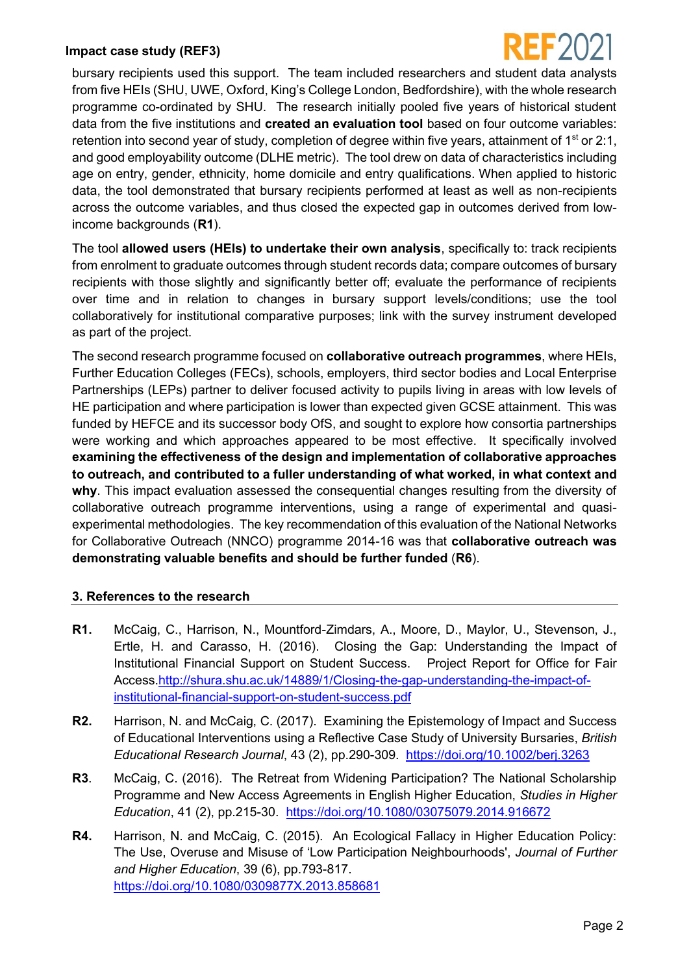#### **Impact case study (REF3)**



bursary recipients used this support. The team included researchers and student data analysts from five HEIs (SHU, UWE, Oxford, King's College London, Bedfordshire), with the whole research programme co-ordinated by SHU. The research initially pooled five years of historical student data from the five institutions and **created an evaluation tool** based on four outcome variables: retention into second year of study, completion of degree within five years, attainment of  $1<sup>st</sup>$  or 2:1, and good employability outcome (DLHE metric). The tool drew on data of characteristics including age on entry, gender, ethnicity, home domicile and entry qualifications. When applied to historic data, the tool demonstrated that bursary recipients performed at least as well as non-recipients across the outcome variables, and thus closed the expected gap in outcomes derived from lowincome backgrounds (**R1**).

The tool **allowed users (HEIs) to undertake their own analysis**, specifically to: track recipients from enrolment to graduate outcomes through student records data; compare outcomes of bursary recipients with those slightly and significantly better off; evaluate the performance of recipients over time and in relation to changes in bursary support levels/conditions; use the tool collaboratively for institutional comparative purposes; link with the survey instrument developed as part of the project.

The second research programme focused on **collaborative outreach programmes**, where HEIs, Further Education Colleges (FECs), schools, employers, third sector bodies and Local Enterprise Partnerships (LEPs) partner to deliver focused activity to pupils living in areas with low levels of HE participation and where participation is lower than expected given GCSE attainment. This was funded by HEFCE and its successor body OfS, and sought to explore how consortia partnerships were working and which approaches appeared to be most effective. It specifically involved **examining the effectiveness of the design and implementation of collaborative approaches to outreach, and contributed to a fuller understanding of what worked, in what context and why**. This impact evaluation assessed the consequential changes resulting from the diversity of collaborative outreach programme interventions, using a range of experimental and quasiexperimental methodologies. The key recommendation of this evaluation of the National Networks for Collaborative Outreach (NNCO) programme 2014-16 was that **collaborative outreach was demonstrating valuable benefits and should be further funded** (**R6**).

### **3. References to the research**

- **R1.** McCaig, C., Harrison, N., Mountford-Zimdars, A., Moore, D., Maylor, U., Stevenson, J., Ertle, H. and Carasso, H. (2016). Closing the Gap: Understanding the Impact of Institutional Financial Support on Student Success. Project Report for Office for Fair Access[.http://shura.shu.ac.uk/14889/1/Closing-the-gap-understanding-the-impact-of](http://shura.shu.ac.uk/14889/1/Closing-the-gap-understanding-the-impact-of-institutional-financial-support-on-student-success.pdf)[institutional-financial-support-on-student-success.pdf](http://shura.shu.ac.uk/14889/1/Closing-the-gap-understanding-the-impact-of-institutional-financial-support-on-student-success.pdf)
- **R2.** Harrison, N. and McCaig, C. (2017). Examining the Epistemology of Impact and Success of Educational Interventions using a Reflective Case Study of University Bursaries, *British Educational Research Journal*, 43 (2), pp.290-309. <https://doi.org/10.1002/berj.3263>
- **R3**. McCaig, C. (2016). The Retreat from Widening Participation? The National Scholarship Programme and New Access Agreements in English Higher Education, *Studies in Higher Education*, 41 (2), pp.215-30. <https://doi.org/10.1080/03075079.2014.916672>
- **R4.** Harrison, N. and McCaig, C. (2015). An Ecological Fallacy in Higher Education Policy: The Use, Overuse and Misuse of 'Low Participation Neighbourhoods', *Journal of Further and Higher Education*, 39 (6), pp.793-817. <https://doi.org/10.1080/0309877X.2013.858681>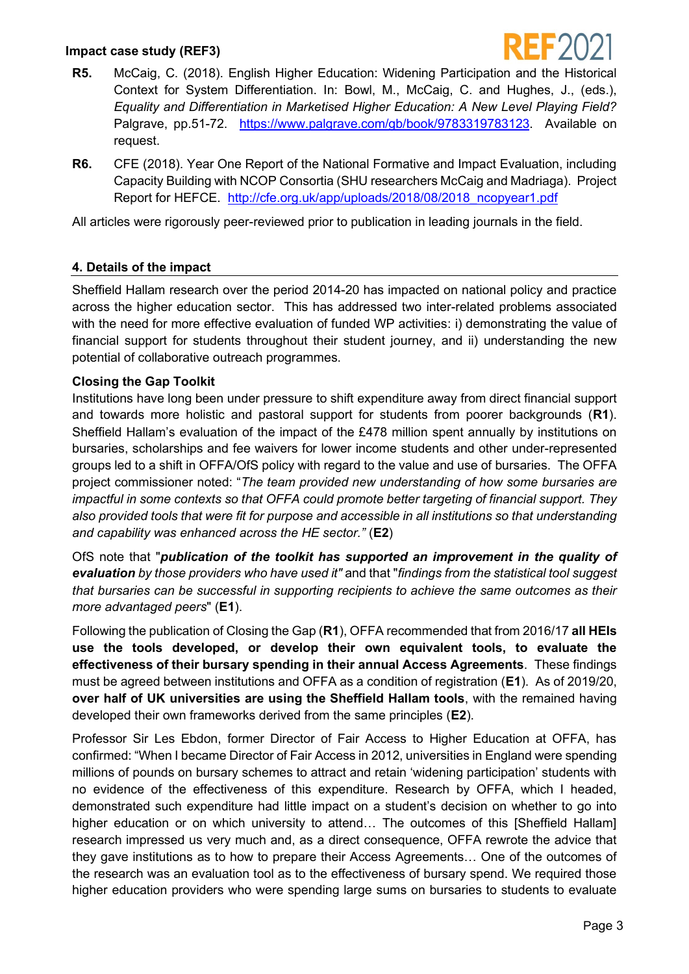### **Impact case study (REF3)**



- **R5.** McCaig, C. (2018). English Higher Education: Widening Participation and the Historical Context for System Differentiation. In: Bowl, M., McCaig, C. and Hughes, J., (eds.), *Equality and Differentiation in Marketised Higher Education: A New Level Playing Field?* Palgrave, pp.51-72. [https://www.palgrave.com/gb/book/9783319783123.](https://www.palgrave.com/gb/book/9783319783123) Available on request.
- **R6.** CFE (2018). Year One Report of the National Formative and Impact Evaluation, including Capacity Building with NCOP Consortia (SHU researchers McCaig and Madriaga). Project Report for HEFCE. [http://cfe.org.uk/app/uploads/2018/08/2018\\_ncopyear1.pdf](http://cfe.org.uk/app/uploads/2018/08/2018_ncopyear1.pdf)

All articles were rigorously peer-reviewed prior to publication in leading journals in the field.

### **4. Details of the impact**

Sheffield Hallam research over the period 2014-20 has impacted on national policy and practice across the higher education sector. This has addressed two inter-related problems associated with the need for more effective evaluation of funded WP activities: i) demonstrating the value of financial support for students throughout their student journey, and ii) understanding the new potential of collaborative outreach programmes.

#### **Closing the Gap Toolkit**

Institutions have long been under pressure to shift expenditure away from direct financial support and towards more holistic and pastoral support for students from poorer backgrounds (**R1**). Sheffield Hallam's evaluation of the impact of the £478 million spent annually by institutions on bursaries, scholarships and fee waivers for lower income students and other under-represented groups led to a shift in OFFA/OfS policy with regard to the value and use of bursaries. The OFFA project commissioner noted: "*The team provided new understanding of how some bursaries are impactful in some contexts so that OFFA could promote better targeting of financial support. They also provided tools that were fit for purpose and accessible in all institutions so that understanding and capability was enhanced across the HE sector."* (**E2**)

OfS note that "*publication of the toolkit has supported an improvement in the quality of evaluation by those providers who have used it"* and that "*findings from the statistical tool suggest that bursaries can be successful in supporting recipients to achieve the same outcomes as their more advantaged peers*" (**E1**).

Following the publication of Closing the Gap (**R1**), OFFA recommended that from 2016/17 **all HEIs use the tools developed, or develop their own equivalent tools, to evaluate the effectiveness of their bursary spending in their annual Access Agreements**. These findings must be agreed between institutions and OFFA as a condition of registration (**E1**). As of 2019/20, **over half of UK universities are using the Sheffield Hallam tools**, with the remained having developed their own frameworks derived from the same principles (**E2**).

Professor Sir Les Ebdon, former Director of Fair Access to Higher Education at OFFA, has confirmed: "When I became Director of Fair Access in 2012, universities in England were spending millions of pounds on bursary schemes to attract and retain 'widening participation' students with no evidence of the effectiveness of this expenditure. Research by OFFA, which I headed, demonstrated such expenditure had little impact on a student's decision on whether to go into higher education or on which university to attend... The outcomes of this [Sheffield Hallam] research impressed us very much and, as a direct consequence, OFFA rewrote the advice that they gave institutions as to how to prepare their Access Agreements… One of the outcomes of the research was an evaluation tool as to the effectiveness of bursary spend. We required those higher education providers who were spending large sums on bursaries to students to evaluate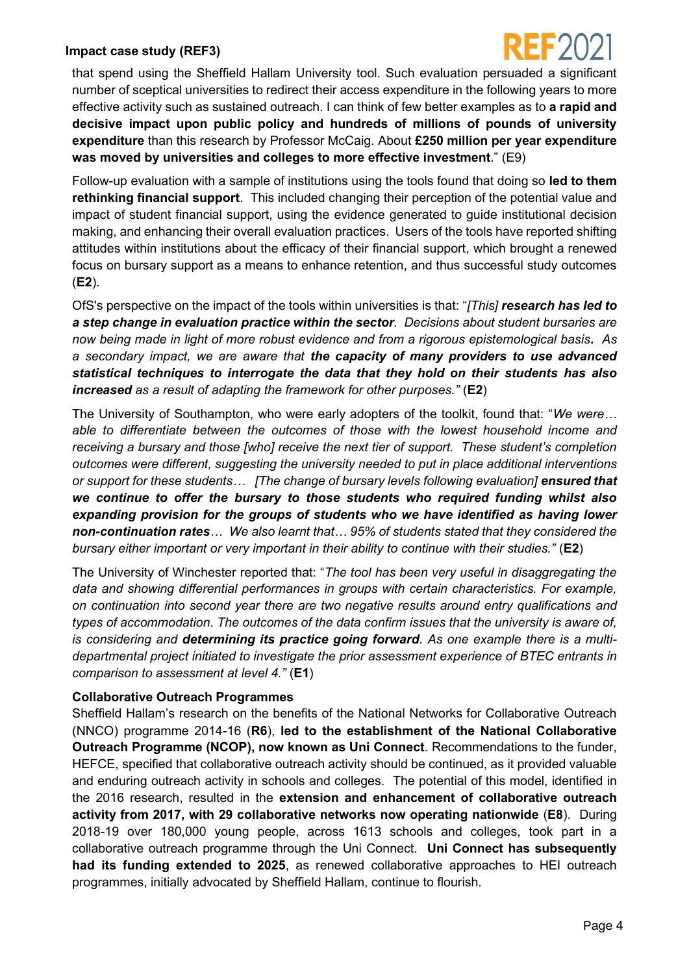#### **Impact case study (REF3)**



that spend using the Sheffield Hallam University tool. Such evaluation persuaded a significant number of sceptical universities to redirect their access expenditure in the following years to more effective activity such as sustained outreach. I can think of few better examples as to **a rapid and decisive impact upon public policy and hundreds of millions of pounds of university expenditure** than this research by Professor McCaig. About **£250 million per year expenditure was moved by universities and colleges to more effective investment**." (E9)

Follow-up evaluation with a sample of institutions using the tools found that doing so **led to them rethinking financial support**. This included changing their perception of the potential value and impact of student financial support, using the evidence generated to guide institutional decision making, and enhancing their overall evaluation practices. Users of the tools have reported shifting attitudes within institutions about the efficacy of their financial support, which brought a renewed focus on bursary support as a means to enhance retention, and thus successful study outcomes (**E2**).

OfS's perspective on the impact of the tools within universities is that: "*[This] research has led to a step change in evaluation practice within the sector. Decisions about student bursaries are now being made in light of more robust evidence and from a rigorous epistemological basis. As a secondary impact, we are aware that the capacity of many providers to use advanced statistical techniques to interrogate the data that they hold on their students has also increased as a result of adapting the framework for other purposes."* (**E2**)

The University of Southampton, who were early adopters of the toolkit, found that: "*We were… able to differentiate between the outcomes of those with the lowest household income and receiving a bursary and those [who] receive the next tier of support. These student's completion outcomes were different, suggesting the university needed to put in place additional interventions or support for these students… [The change of bursary levels following evaluation] ensured that we continue to offer the bursary to those students who required funding whilst also expanding provision for the groups of students who we have identified as having lower non-continuation rates… We also learnt that… 95% of students stated that they considered the bursary either important or very important in their ability to continue with their studies."* (**E2**)

The University of Winchester reported that: "*The tool has been very useful in disaggregating the data and showing differential performances in groups with certain characteristics. For example, on continuation into second year there are two negative results around entry qualifications and types of accommodation. The outcomes of the data confirm issues that the university is aware of, is considering and determining its practice going forward. As one example there is a multidepartmental project initiated to investigate the prior assessment experience of BTEC entrants in comparison to assessment at level 4."* (**E1**)

### **Collaborative Outreach Programmes**

Sheffield Hallam's research on the benefits of the National Networks for Collaborative Outreach (NNCO) programme 2014-16 (**R6**), **led to the establishment of the National Collaborative Outreach Programme (NCOP), now known as Uni Connect**. Recommendations to the funder, HEFCE, specified that collaborative outreach activity should be continued, as it provided valuable and enduring outreach activity in schools and colleges. The potential of this model, identified in the 2016 research, resulted in the **extension and enhancement of collaborative outreach activity from 2017, with 29 collaborative networks now operating nationwide** (**E8**). During 2018-19 over 180,000 young people, across 1613 schools and colleges, took part in a collaborative outreach programme through the Uni Connect. **Uni Connect has subsequently had its funding extended to 2025**, as renewed collaborative approaches to HEI outreach programmes, initially advocated by Sheffield Hallam, continue to flourish.